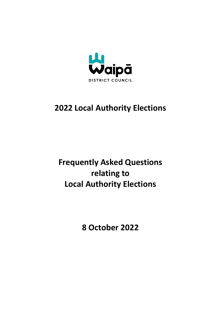

## **2022 Local Authority Elections**

## **Frequently Asked Questions relating to Local Authority Elections**

**8 October 2022**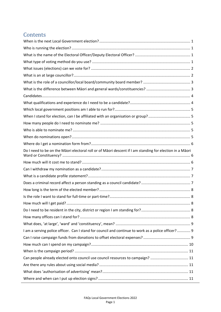## **Contents**

| Do I need to be on the Māori electoral roll or of Māori descent if I am standing for election in a Māori |
|----------------------------------------------------------------------------------------------------------|
|                                                                                                          |
|                                                                                                          |
|                                                                                                          |
|                                                                                                          |
|                                                                                                          |
|                                                                                                          |
|                                                                                                          |
|                                                                                                          |
|                                                                                                          |
|                                                                                                          |
| I am a serving police officer. Can I stand for council and continue to work as a police officer? 9       |
|                                                                                                          |
|                                                                                                          |
|                                                                                                          |
| Can people already elected onto council use council resources to campaign?  11                           |
|                                                                                                          |
|                                                                                                          |
|                                                                                                          |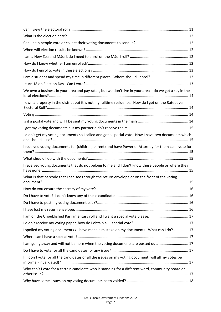| I am a student and spend my time in different places. Where should I enrol? 13                        |  |
|-------------------------------------------------------------------------------------------------------|--|
|                                                                                                       |  |
| We own a business in your area and pay rates, but we don't live in your area - do we get a say in the |  |
| I own a property in the district but it is not my fulltime residence. How do I get on the Ratepayer   |  |
|                                                                                                       |  |
|                                                                                                       |  |
|                                                                                                       |  |
| I didn't get my voting documents so I called and got a special vote. Now I have two documents which   |  |
| I received voting documents for (children, parent) and have Power of Attorney for them can I vote for |  |
|                                                                                                       |  |
|                                                                                                       |  |
| I received voting documents that do not belong to me and I don't know these people or where they      |  |
| What is that barcode that I can see through the return envelope or on the front of the voting         |  |
|                                                                                                       |  |
|                                                                                                       |  |
|                                                                                                       |  |
|                                                                                                       |  |
|                                                                                                       |  |
|                                                                                                       |  |
|                                                                                                       |  |
| I spoiled my voting documents / I have made a mistake on my documents. What can I do? 17              |  |
|                                                                                                       |  |
| I am going away and will not be here when the voting documents are posted out.  17                    |  |
| If I don't vote for all the candidates or all the issues on my voting document, will all my votes be  |  |
| Why can't I vote for a certain candidate who is standing for a different ward, community board or     |  |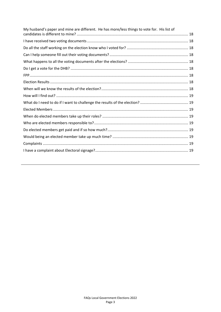| My husband's paper and mine are different. He has more/less things to vote for. His list of |  |
|---------------------------------------------------------------------------------------------|--|
|                                                                                             |  |
|                                                                                             |  |
|                                                                                             |  |
|                                                                                             |  |
|                                                                                             |  |
|                                                                                             |  |
|                                                                                             |  |
|                                                                                             |  |
|                                                                                             |  |
|                                                                                             |  |
|                                                                                             |  |
|                                                                                             |  |
|                                                                                             |  |
|                                                                                             |  |
|                                                                                             |  |
|                                                                                             |  |
|                                                                                             |  |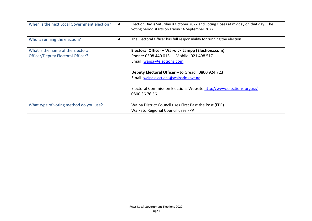<span id="page-4-3"></span><span id="page-4-2"></span><span id="page-4-1"></span><span id="page-4-0"></span>

| When is the next Local Government election?                            | A | Election Day is Saturday 8 October 2022 and voting closes at midday on that day. The<br>voting period starts on Friday 16 September 2022                                                                                                                                                                            |
|------------------------------------------------------------------------|---|---------------------------------------------------------------------------------------------------------------------------------------------------------------------------------------------------------------------------------------------------------------------------------------------------------------------|
| Who is running the election?                                           | A | The Electoral Officer has full responsibility for running the election.                                                                                                                                                                                                                                             |
| What is the name of the Electoral<br>Officer/Deputy Electoral Officer? |   | Electoral Officer - Warwick Lampp (Electionz.com)<br>Phone: 0508 440 013    Mobile: 021 498 517<br>Email: waipa@electionz.com<br>Deputy Electoral Officer - Jo Gread 0800 924 723<br>Email: waipa.elections@waipadc.govt.nz<br>Electoral Commission Elections Website http://www.elections.org.nz/<br>0800 36 76 56 |
| What type of voting method do you use?                                 |   | Waipa District Council uses First Past the Post (FPP)<br>Waikato Regional Council uses FPP                                                                                                                                                                                                                          |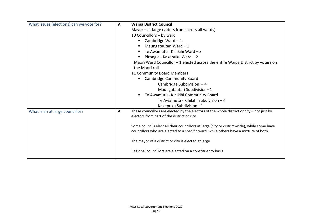<span id="page-5-1"></span><span id="page-5-0"></span>

| What issues (elections) can we vote for? | Α | <b>Waipa District Council</b>                                                                                                                                                       |
|------------------------------------------|---|-------------------------------------------------------------------------------------------------------------------------------------------------------------------------------------|
|                                          |   | Mayor – at large (voters from across all wards)                                                                                                                                     |
|                                          |   | 10 Councillors - by ward                                                                                                                                                            |
|                                          |   | Cambridge Ward $-4$<br>п                                                                                                                                                            |
|                                          |   | Maungatautari Ward - 1                                                                                                                                                              |
|                                          |   | Te Awamutu - Kihikihi Ward - 3<br>٠                                                                                                                                                 |
|                                          |   | Pirongia - Kakepuku Ward - 2                                                                                                                                                        |
|                                          |   | Maori Ward Councillor $-1$ elected across the entire Waipa District by voters on                                                                                                    |
|                                          |   | the Maori roll                                                                                                                                                                      |
|                                          |   | 11 Community Board Members                                                                                                                                                          |
|                                          |   | <b>Cambridge Community Board</b>                                                                                                                                                    |
|                                          |   | Cambridge Subdivision $-4$                                                                                                                                                          |
|                                          |   | Maungatautari Subdivision-1                                                                                                                                                         |
|                                          |   | Te Awamutu - Kihikihi Community Board<br>л.                                                                                                                                         |
|                                          |   | Te Awamutu - Kihikihi Subdivision - 4                                                                                                                                               |
|                                          |   | Kakepuku Subdivision - 1                                                                                                                                                            |
| What is an at large councillor?          | Α | These councillors are elected by the electors of the whole district or city $-$ not just by                                                                                         |
|                                          |   | electors from part of the district or city.                                                                                                                                         |
|                                          |   |                                                                                                                                                                                     |
|                                          |   | Some councils elect all their councillors at large (city or district-wide), while some have<br>councillors who are elected to a specific ward, while others have a mixture of both. |
|                                          |   |                                                                                                                                                                                     |
|                                          |   | The mayor of a district or city is elected at large.                                                                                                                                |
|                                          |   | Regional councillors are elected on a constituency basis.                                                                                                                           |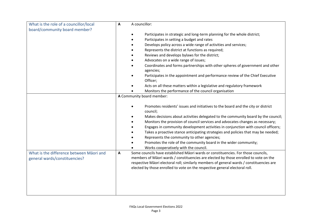<span id="page-6-1"></span><span id="page-6-0"></span>

| What is the role of a councillor/local                                    | A councillor:<br>A                                                                                                                                                                                                                                                                                                                                                                                                                                                                                                                                                                                                                     |  |
|---------------------------------------------------------------------------|----------------------------------------------------------------------------------------------------------------------------------------------------------------------------------------------------------------------------------------------------------------------------------------------------------------------------------------------------------------------------------------------------------------------------------------------------------------------------------------------------------------------------------------------------------------------------------------------------------------------------------------|--|
| board/community board member?                                             | Participates in strategic and long-term planning for the whole district;<br>Participates in setting a budget and rates<br>Develops policy across a wide range of activities and services;<br>Represents the district at functions as required;<br>Reviews and develops bylaws for the district;<br>Advocates on a wide range of issues;<br>Coordinates and forms partnerships with other spheres of government and other<br>agencies;<br>Participates in the appointment and performance review of the Chief Executive<br>Officer;<br>Acts on all these matters within a legislative and regulatory framework                          |  |
|                                                                           | Monitors the performance of the council organisation                                                                                                                                                                                                                                                                                                                                                                                                                                                                                                                                                                                   |  |
|                                                                           | A Community board member:<br>Promotes residents' issues and initiatives to the board and the city or district<br>council;<br>Makes decisions about activities delegated to the community board by the council;<br>Monitors the provision of council services and advocates changes as necessary;<br>Engages in community development activities in conjunction with council officers;<br>Takes a proactive stance anticipating strategies and policies that may be needed;<br>Represents the community to other agencies;<br>Promotes the role of the community board in the wider community;<br>Works cooperatively with the council. |  |
| What is the difference between Māori and<br>general wards/constituencies? | Some councils have established Māori wards or constituencies. For those councils,<br>A<br>members of Māori wards / constituencies are elected by those enrolled to vote on the<br>respective Māori electoral roll; similarly members of general wards / constituencies are<br>elected by those enrolled to vote on the respective general electoral roll.                                                                                                                                                                                                                                                                              |  |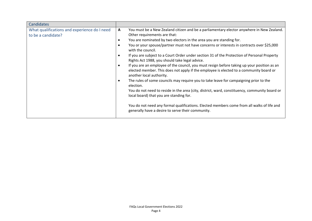<span id="page-7-1"></span><span id="page-7-0"></span>

| Candidates                                                         |                                                                                                                                                                                                                                                                                                                                                                                                                                                                                                                                                                                                                                                                                                                                                                                                                                                                                                                                                                                                                                                                                                    |
|--------------------------------------------------------------------|----------------------------------------------------------------------------------------------------------------------------------------------------------------------------------------------------------------------------------------------------------------------------------------------------------------------------------------------------------------------------------------------------------------------------------------------------------------------------------------------------------------------------------------------------------------------------------------------------------------------------------------------------------------------------------------------------------------------------------------------------------------------------------------------------------------------------------------------------------------------------------------------------------------------------------------------------------------------------------------------------------------------------------------------------------------------------------------------------|
| What qualifications and experience do I need<br>to be a candidate? | You must be a New Zealand citizen and be a parliamentary elector anywhere in New Zealand.<br>A<br>Other requirements are that:<br>You are nominated by two electors in the area you are standing for.<br>You or your spouse/partner must not have concerns or interests in contracts over \$25,000<br>with the council.<br>If you are subject to a Court Order under section 31 of the Protection of Personal Property<br>Rights Act 1988, you should take legal advice.<br>If you are an employee of the council, you must resign before taking up your position as an<br>elected member. This does not apply if the employee is elected to a community board or<br>another local authority.<br>The rules of some councils may require you to take leave for campaigning prior to the<br>election.<br>You do not need to reside in the area (city, district, ward, constituency, community board or<br>local board) that you are standing for.<br>You do not need any formal qualifications. Elected members come from all walks of life and<br>generally have a desire to serve their community. |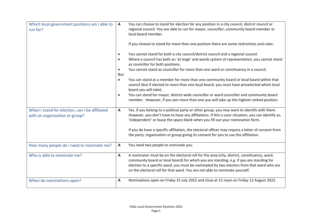<span id="page-8-4"></span><span id="page-8-3"></span><span id="page-8-2"></span><span id="page-8-1"></span><span id="page-8-0"></span>

| Which local government positions am I able to<br>run for?                        | A<br>local board member.<br>But<br>board you will take). | You can choose to stand for election for any position in a city council, district council or<br>regional council. You are able to run for mayor, councillor, community board member or<br>If you choose to stand for more than one position there are some restrictions and rules:<br>You cannot stand for both a city council/district council and a regional council.<br>Where a council has both an 'at large' and wards system of representation, you cannot stand<br>as councillor for both positions.<br>You cannot stand as councillor for more than one ward or constituency in a council.<br>You can stand as a member for more than one community board or local board within that<br>council (but if elected to more than one local board, you must have preselected which local<br>You can stand for mayor, district-wide councillor or ward councillor and community board<br>member. However, if you win more than one you will take up the highest ranked position. |
|----------------------------------------------------------------------------------|----------------------------------------------------------|------------------------------------------------------------------------------------------------------------------------------------------------------------------------------------------------------------------------------------------------------------------------------------------------------------------------------------------------------------------------------------------------------------------------------------------------------------------------------------------------------------------------------------------------------------------------------------------------------------------------------------------------------------------------------------------------------------------------------------------------------------------------------------------------------------------------------------------------------------------------------------------------------------------------------------------------------------------------------------|
| When I stand for election, can I be affiliated<br>with an organisation or group? | A                                                        | Yes, if you belong to a political party or other group, you may want to identify with them.<br>However, you don't have to have any affiliations. If this is your situation, you can identify as,<br>'independent' or leave the space blank when you fill out your nomination form.<br>If you do have a specific affiliation, the electoral officer may require a letter of consent from<br>the party, organisation or group giving its consent for you to use the affiliation.                                                                                                                                                                                                                                                                                                                                                                                                                                                                                                     |
| How many people do I need to nominate me?                                        |                                                          | You need two people to nominate you.                                                                                                                                                                                                                                                                                                                                                                                                                                                                                                                                                                                                                                                                                                                                                                                                                                                                                                                                               |
| Who is able to nominate me?                                                      | A                                                        | A nominator must be on the electoral roll for the area (city, district, constituency, ward,<br>community board or local board) for which you are standing, e.g. if you are standing for<br>election to a specific ward, you must be nominated by two electors from that ward who are<br>on the electoral roll for that ward. You are not able to nominate yourself.                                                                                                                                                                                                                                                                                                                                                                                                                                                                                                                                                                                                                |
| When do nominations open?                                                        |                                                          | Nominations open on Friday 15 July 2022 and close at 12 noon on Friday 12 August 2022.                                                                                                                                                                                                                                                                                                                                                                                                                                                                                                                                                                                                                                                                                                                                                                                                                                                                                             |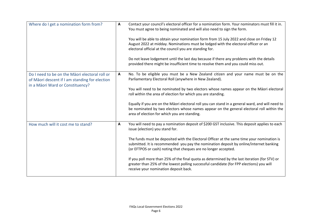<span id="page-9-2"></span><span id="page-9-1"></span><span id="page-9-0"></span>

| Where do I get a nomination form from?                                                                                               | A | Contact your council's electoral officer for a nomination form. Your nominators must fill it in.<br>You must agree to being nominated and will also need to sign the form.<br>You will be able to obtain your nomination form from 15 July 2022 and close on Friday 12<br>August 2022 at midday. Nominations must be lodged with the electoral officer or an<br>electoral official at the council you are standing for.<br>Do not leave lodgement until the last day because if there any problems with the details<br>provided there might be insufficient time to resolve them and you could miss out.                           |
|--------------------------------------------------------------------------------------------------------------------------------------|---|------------------------------------------------------------------------------------------------------------------------------------------------------------------------------------------------------------------------------------------------------------------------------------------------------------------------------------------------------------------------------------------------------------------------------------------------------------------------------------------------------------------------------------------------------------------------------------------------------------------------------------|
| Do I need to be on the Maori electoral roll or<br>of Māori descent if I am standing for election<br>in a Māori Ward or Constituency? | A | No. To be eligible you must be a New Zealand citizen and your name must be on the<br>Parliamentary Electoral Roll (anywhere in New Zealand).<br>You will need to be nominated by two electors whose names appear on the Māori electoral<br>roll within the area of election for which you are standing.<br>Equally if you are on the Māori electoral roll you can stand in a general ward, and will need to<br>be nominated by two electors whose names appear on the general electoral roll within the<br>area of election for which you are standing.                                                                            |
| How much will it cost me to stand?                                                                                                   | A | You will need to pay a nomination deposit of \$200 GST inclusive. This deposit applies to each<br>issue (election) you stand for.<br>The funds must be deposited with the Electoral Officer at the same time your nomination is<br>submitted. It is recommended you pay the nomination deposit by online/internet banking<br>(or EFTPOS or cash) noting that cheques are no longer accepted.<br>If you poll more than 25% of the final quota as determined by the last iteration (for STV) or<br>greater than 25% of the lowest polling successful candidate (for FPP elections) you will<br>receive your nomination deposit back. |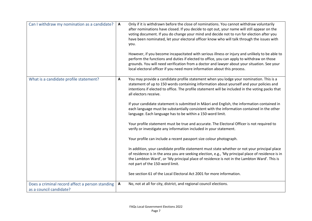<span id="page-10-2"></span><span id="page-10-1"></span><span id="page-10-0"></span>

| Can I withdraw my nomination as a candidate?                               | A | Only if it is withdrawn before the close of nominations. You cannot withdraw voluntarily<br>after nominations have closed. If you decide to opt out, your name will still appear on the<br>voting document. If you do change your mind and decide not to run for election after you<br>have been nominated, let your electoral officer know who will talk through the issues with<br>you.<br>However, if you become incapacitated with serious illness or injury and unlikely to be able to<br>perform the functions and duties if elected to office, you can apply to withdraw on those<br>grounds. You will need verification from a doctor and lawyer about your situation. See your<br>local electoral officer if you need more information about this process.                                                                                                                                                                                                                                                                                                                                                                                                                                                                  |
|----------------------------------------------------------------------------|---|--------------------------------------------------------------------------------------------------------------------------------------------------------------------------------------------------------------------------------------------------------------------------------------------------------------------------------------------------------------------------------------------------------------------------------------------------------------------------------------------------------------------------------------------------------------------------------------------------------------------------------------------------------------------------------------------------------------------------------------------------------------------------------------------------------------------------------------------------------------------------------------------------------------------------------------------------------------------------------------------------------------------------------------------------------------------------------------------------------------------------------------------------------------------------------------------------------------------------------------|
| What is a candidate profile statement?                                     | Α | You may provide a candidate profile statement when you lodge your nomination. This is a<br>statement of up to 150 words containing information about yourself and your policies and<br>intentions if elected to office. The profile statement will be included in the voting packs that<br>all electors receive.<br>If your candidate statement is submitted in Māori and English, the information contained in<br>each language must be substantially consistent with the information contained in the other<br>language. Each language has to be within a 150-word limit.<br>Your profile statement must be true and accurate. The Electoral Officer is not required to<br>verify or investigate any information included in your statement.<br>Your profile can include a recent passport size colour photograph.<br>In addition, your candidate profile statement must state whether or not your principal place<br>of residence is in the area you are seeking election, e.g., 'My principal place of residence is in<br>the Lambton Ward', or 'My principal place of residence is not in the Lambton Ward'. This is<br>not part of the 150-word limit.<br>See section 61 of the Local Electoral Act 2001 for more information. |
| Does a criminal record affect a person standing<br>as a council candidate? | A | No, not at all for city, district, and regional council elections.                                                                                                                                                                                                                                                                                                                                                                                                                                                                                                                                                                                                                                                                                                                                                                                                                                                                                                                                                                                                                                                                                                                                                                   |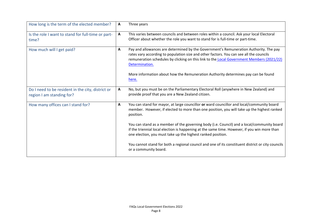<span id="page-11-4"></span><span id="page-11-3"></span><span id="page-11-2"></span><span id="page-11-1"></span><span id="page-11-0"></span>

| How long is the term of the elected member?                                    | $\mathbf{A}$ | Three years                                                                                                                                                                                                                                                                                                                                                                                   |
|--------------------------------------------------------------------------------|--------------|-----------------------------------------------------------------------------------------------------------------------------------------------------------------------------------------------------------------------------------------------------------------------------------------------------------------------------------------------------------------------------------------------|
| Is the role I want to stand for full-time or part-<br>time?                    | A            | This varies between councils and between roles within a council. Ask your local Electoral<br>Officer about whether the role you want to stand for is full-time or part-time.                                                                                                                                                                                                                  |
| How much will I get paid?                                                      | A            | Pay and allowances are determined by the Government's Remuneration Authority. The pay<br>rates vary according to population size and other factors. You can see all the councils<br>remuneration schedules by clicking on this link to the Local Government Members (2021/22)<br>Determination.<br>More information about how the Remuneration Authority determines pay can be found<br>here. |
| Do I need to be resident in the city, district or<br>region I am standing for? | A            | No, but you must be on the Parliamentary Electoral Roll (anywhere in New Zealand) and<br>provide proof that you are a New Zealand citizen.                                                                                                                                                                                                                                                    |
| How many offices can I stand for?                                              | A            | You can stand for mayor, at large councillor or ward councillor and local/community board<br>member. However, if elected to more than one position, you will take up the highest ranked<br>position.                                                                                                                                                                                          |
|                                                                                |              | You can stand as a member of the governing body (i.e. Council) and a local/community board<br>if the triennial local election is happening at the same time. However, if you win more than<br>one election, you must take up the highest ranked position.                                                                                                                                     |
|                                                                                |              | You cannot stand for both a regional council and one of its constituent district or city councils<br>or a community board.                                                                                                                                                                                                                                                                    |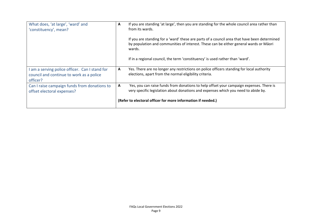<span id="page-12-2"></span><span id="page-12-1"></span><span id="page-12-0"></span>

| What does, 'at large', 'ward' and<br>'constituency', mean?                                             | A | If you are standing 'at large', then you are standing for the whole council area rather than<br>from its wards.                                                                                 |
|--------------------------------------------------------------------------------------------------------|---|-------------------------------------------------------------------------------------------------------------------------------------------------------------------------------------------------|
|                                                                                                        |   | If you are standing for a 'ward' these are parts of a council area that have been determined<br>by population and communities of interest. These can be either general wards or Māori<br>wards. |
|                                                                                                        |   | If in a regional council, the term 'constituency' is used rather than 'ward'.                                                                                                                   |
| I am a serving police officer. Can I stand for<br>council and continue to work as a police<br>officer? | A | Yes. There are no longer any restrictions on police officers standing for local authority<br>elections, apart from the normal eligibility criteria.                                             |
| Can I raise campaign funds from donations to<br>offset electoral expenses?                             | A | Yes, you can raise funds from donations to help offset your campaign expenses. There is<br>very specific legislation about donations and expenses which you need to abide by.                   |
|                                                                                                        |   | (Refer to electoral officer for more information if needed.)                                                                                                                                    |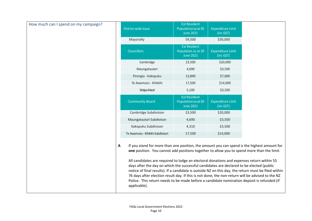<span id="page-13-0"></span>

| How much can I spend on my campaign? | District-wide Issue                                                                                                                                                                                                                                                                                                                                                                                                                                                                                                                                                                                                                                                                                              | <b>Est Resident</b><br>Population as at 30<br><b>June 2021</b> | <b>Expenditure Limit</b><br>(inc GST) |  |
|--------------------------------------|------------------------------------------------------------------------------------------------------------------------------------------------------------------------------------------------------------------------------------------------------------------------------------------------------------------------------------------------------------------------------------------------------------------------------------------------------------------------------------------------------------------------------------------------------------------------------------------------------------------------------------------------------------------------------------------------------------------|----------------------------------------------------------------|---------------------------------------|--|
|                                      | Mayoralty                                                                                                                                                                                                                                                                                                                                                                                                                                                                                                                                                                                                                                                                                                        | 59,500                                                         | \$30,000                              |  |
|                                      | <b>Councillors</b>                                                                                                                                                                                                                                                                                                                                                                                                                                                                                                                                                                                                                                                                                               | <b>Est Resident</b><br>Population as at 30<br><b>June 2021</b> | <b>Expenditure Limit</b><br>(inc GST) |  |
|                                      | Cambridge                                                                                                                                                                                                                                                                                                                                                                                                                                                                                                                                                                                                                                                                                                        | 23,500                                                         | \$20,000                              |  |
|                                      | Maungatautari                                                                                                                                                                                                                                                                                                                                                                                                                                                                                                                                                                                                                                                                                                    | 4,690                                                          | \$3,500                               |  |
|                                      | Pirongia - Kakepuku                                                                                                                                                                                                                                                                                                                                                                                                                                                                                                                                                                                                                                                                                              | 13,890                                                         | \$7,000                               |  |
|                                      | Te Awamutu - Kihikihi                                                                                                                                                                                                                                                                                                                                                                                                                                                                                                                                                                                                                                                                                            | 17,500                                                         | \$14,000                              |  |
|                                      | Waipa Maori                                                                                                                                                                                                                                                                                                                                                                                                                                                                                                                                                                                                                                                                                                      | 5,100                                                          | \$3,500                               |  |
|                                      | <b>Community Board</b>                                                                                                                                                                                                                                                                                                                                                                                                                                                                                                                                                                                                                                                                                           | <b>Est Resident</b><br>Population as at 30<br><b>June 2021</b> | <b>Expenditure Limit</b><br>(inc GST) |  |
|                                      | Cambridge Subdivision                                                                                                                                                                                                                                                                                                                                                                                                                                                                                                                                                                                                                                                                                            | 23,500                                                         | \$20,000                              |  |
|                                      | Maungatautari Subdivison                                                                                                                                                                                                                                                                                                                                                                                                                                                                                                                                                                                                                                                                                         | 4,690                                                          | \$3,500                               |  |
|                                      | Kakepuku Subdivison                                                                                                                                                                                                                                                                                                                                                                                                                                                                                                                                                                                                                                                                                              | 4,310                                                          | \$3,500                               |  |
|                                      | Te Awamutu - Kihikihi Subdivison                                                                                                                                                                                                                                                                                                                                                                                                                                                                                                                                                                                                                                                                                 | 17,500                                                         | \$14,000                              |  |
|                                      | If you stand for more than one position, the amount you can spend is the highest amount for<br>A<br>one position. You cannot add positions together to allow you to spend more than the limit.<br>All candidates are required to lodge an electoral donations and expenses return within 55<br>days after the day on which the successful candidates are declared to be elected (public<br>notice of final results). If a candidate is outside NZ on this day, the return must be filed within<br>76 days after election result day. If this is not done, the non-return will be advised to the NZ<br>Police. This return needs to be made before a candidate nomination deposit is refunded (if<br>applicable). |                                                                |                                       |  |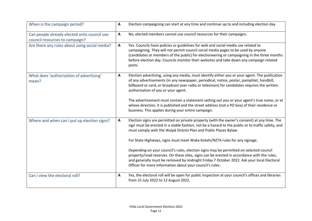<span id="page-14-5"></span><span id="page-14-4"></span><span id="page-14-3"></span><span id="page-14-2"></span><span id="page-14-1"></span><span id="page-14-0"></span>

| When is the campaign period?                                                  | $\mathbf{A}$ | Election campaigning can start at any time and continue up to and including election day.                                                                                                                                                                                                                                                                                                                                                                                                                                         |
|-------------------------------------------------------------------------------|--------------|-----------------------------------------------------------------------------------------------------------------------------------------------------------------------------------------------------------------------------------------------------------------------------------------------------------------------------------------------------------------------------------------------------------------------------------------------------------------------------------------------------------------------------------|
| Can people already elected onto council use<br>council resources to campaign? | A            | No, elected members cannot use council resources for their campaigns.                                                                                                                                                                                                                                                                                                                                                                                                                                                             |
| Are there any rules about using social media?                                 | $\mathbf{A}$ | Yes. Councils have policies or guidelines for web and social media use related to<br>campaigning. They will not permit council social media pages to be used by anyone<br>(candidates or members of the public) for electioneering or campaigning in the three months<br>before election day. Councils monitor their websites and take down any campaign related<br>posts.                                                                                                                                                        |
| What does 'authorisation of advertising'<br>mean?                             | $\mathbf{A}$ | Election advertising, using any media, must identify either you or your agent. The publication<br>of any advertisements (in any newspaper, periodical, notice, poster, pamphlet, handbill,<br>billboard or card, or broadcast over radio or television) for candidates requires the written<br>authorisation of you or your agent.<br>The advertisement must contain a statement setting out you or your agent's true name, or at<br>whose direction, it is published and the street address (not a PO box) of their residence or |
|                                                                               |              | business. This applies during your entire campaign.                                                                                                                                                                                                                                                                                                                                                                                                                                                                               |
| Where and when can I put up election signs?                                   | A            | Election signs are permitted on private property (with the owner's consent) at any time. The<br>sign must be erected in a stable fashion, not be a hazard to the public or to traffic safety, and<br>must comply with the Waipa District Plan and Public Places Bylaw.                                                                                                                                                                                                                                                            |
|                                                                               |              | For State Highways, signs must meet Waka Kotahi/NZTA rules for any signage.                                                                                                                                                                                                                                                                                                                                                                                                                                                       |
|                                                                               |              | Depending on your council's rules, election signs may be permitted on selected council<br>property/road reserves. On these sites, signs can be erected in accordance with the rules,<br>and generally must be removed by midnight Friday 7 October 2022. Ask your local Electoral<br>Officer for more information about your council's rules.                                                                                                                                                                                     |
| Can I view the electoral roll?                                                | A            | Yes, the electoral roll will be open for public inspection at your council's offices and libraries<br>from 15 July 2022 to 12 August 2022.                                                                                                                                                                                                                                                                                                                                                                                        |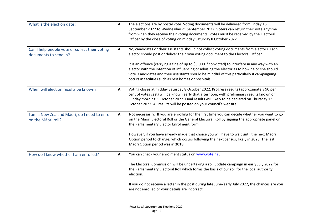<span id="page-15-4"></span><span id="page-15-3"></span><span id="page-15-2"></span><span id="page-15-1"></span><span id="page-15-0"></span>

| What is the election date?                                              | $\mathbf{A}$ | The elections are by postal vote. Voting documents will be delivered from Friday 16<br>September 2022 to Wednesday 21 September 2022. Voters can return their vote anytime<br>from when they receive their voting documents. Votes must be received by the Electoral<br>Officer by the close of voting on midday Saturday 8 October 2022.                |
|-------------------------------------------------------------------------|--------------|----------------------------------------------------------------------------------------------------------------------------------------------------------------------------------------------------------------------------------------------------------------------------------------------------------------------------------------------------------|
| Can I help people vote or collect their voting<br>documents to send in? | A            | No, candidates or their assistants should not collect voting documents from electors. Each<br>elector should post or deliver their own voting document to the Electoral Officer.                                                                                                                                                                         |
|                                                                         |              | It is an offence (carrying a fine of up to \$5,000 if convicted) to interfere in any way with an<br>elector with the intention of influencing or advising the elector as to how he or she should<br>vote. Candidates and their assistants should be mindful of this particularly if campaigning<br>occurs in facilities such as rest homes or hospitals. |
| When will election results be known?                                    | A            | Voting closes at midday Saturday 8 October 2022. Progress results (approximately 90 per<br>cent of votes cast) will be known early that afternoon, with preliminary results known on<br>Sunday morning, 9 October 2022. Final results will likely to be declared on Thursday 13<br>October 2022. All results will be posted on your council's website.   |
| I am a New Zealand Māori, do I need to enrol<br>on the Māori roll?      | A            | Not necessarily. If you are enrolling for the first time you can decide whether you want to go<br>on the Māori Electoral Roll or the General Electoral Roll by signing the appropriate panel on<br>the Parliamentary Elector Enrolment form.                                                                                                             |
|                                                                         |              | However, if you have already made that choice you will have to wait until the next Māori<br>Option period to change, which occurs following the next census, likely in 2023. The last<br>Māori Option period was in 2018.                                                                                                                                |
| How do I know whether I am enrolled?                                    | $\mathbf{A}$ | You can check your enrolment status on www.vote.nz.                                                                                                                                                                                                                                                                                                      |
|                                                                         |              | The Electoral Commission will be undertaking a roll update campaign in early July 2022 for<br>the Parliamentary Electoral Roll which forms the basis of our roll for the local authority<br>election.                                                                                                                                                    |
|                                                                         |              | If you do not receive a letter in the post during late June/early July 2022, the chances are you<br>are not enrolled or your details are incorrect.                                                                                                                                                                                                      |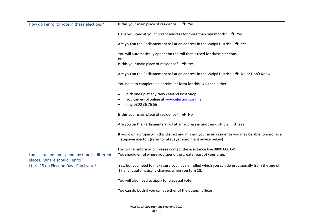<span id="page-16-2"></span><span id="page-16-1"></span><span id="page-16-0"></span>

| How do I enrol to vote in these elections?                                     | Is this your main place of residence? $\rightarrow$ Yes                                                                                                                  |
|--------------------------------------------------------------------------------|--------------------------------------------------------------------------------------------------------------------------------------------------------------------------|
|                                                                                | Have you lived at your current address for more than one month? $\rightarrow$ Yes                                                                                        |
|                                                                                | Are you on the Parliamentary roll at an address in the Waipa District $\rightarrow$ Yes                                                                                  |
|                                                                                | You will automatically appear on the roll that is used for these elections.<br>or                                                                                        |
|                                                                                | Is this your main place of residence? $\rightarrow$ Yes                                                                                                                  |
|                                                                                | Are you on the Parliamentary roll at an address in the Waipa District $\rightarrow$ No or Don't Know                                                                     |
|                                                                                | You need to complete an enrolment form for this. You can either:                                                                                                         |
|                                                                                | pick one up at any New Zealand Post Shop                                                                                                                                 |
|                                                                                | you can enrol online at www.elections.org.nz<br>ring 0800 36 76 56                                                                                                       |
|                                                                                | Is this your main place of residence? $\rightarrow$ No                                                                                                                   |
|                                                                                | Are you on the Parliamentary roll at an address in another district? $\rightarrow$ Yes                                                                                   |
|                                                                                | If you own a property in this district and it is not your main residence you may be able to enrol as a<br>Ratepayer elector. (refer to ratepayer enrolment advice below) |
|                                                                                | For further information please contact the assistance line 0800 666 049.                                                                                                 |
| I am a student and spend my time in different<br>places. Where should I enrol? | You should enrol where you spend the greater part of your time.                                                                                                          |
| I turn 18 on Election Day. Can I vote?                                         | Yes, but you need to make sure you have enrolled which you can do provisionally from the age of<br>17 and it automatically changes when you turn 18.                     |
|                                                                                | You will also need to apply for a special vote.                                                                                                                          |
|                                                                                | You can do both if you call at either of the Council offices                                                                                                             |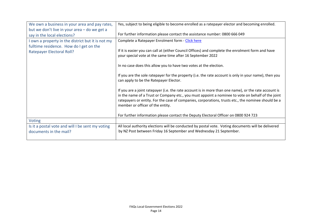<span id="page-17-3"></span><span id="page-17-2"></span><span id="page-17-1"></span><span id="page-17-0"></span>

| We own a business in your area and pay rates,                                                | Yes, subject to being eligible to become enrolled as a ratepayer elector and becoming enrolled.                                                                                                                                                                                                                                                       |
|----------------------------------------------------------------------------------------------|-------------------------------------------------------------------------------------------------------------------------------------------------------------------------------------------------------------------------------------------------------------------------------------------------------------------------------------------------------|
| but we don't live in your area - do we get a                                                 |                                                                                                                                                                                                                                                                                                                                                       |
| say in the local elections?                                                                  | For further information please contact the assistance number: 0800 666 049                                                                                                                                                                                                                                                                            |
| I own a property in the district but it is not my<br>fulltime residence. How do I get on the | Complete a Ratepayer Enrolment form - Click here                                                                                                                                                                                                                                                                                                      |
| <b>Ratepayer Electoral Roll?</b>                                                             | If it is easier you can call at (either Council Offices) and complete the enrolment form and have                                                                                                                                                                                                                                                     |
|                                                                                              | your special vote at the same time after 16 September 2022                                                                                                                                                                                                                                                                                            |
|                                                                                              | In no case does this allow you to have two votes at the election.                                                                                                                                                                                                                                                                                     |
|                                                                                              | If you are the sole ratepayer for the property (i.e. the rate account is only in your name), then you<br>can apply to be the Ratepayer Elector.                                                                                                                                                                                                       |
|                                                                                              | If you are a joint ratepayer (i.e. the rate account is in more than one name), or the rate account is<br>in the name of a Trust or Company etc., you must appoint a nominee to vote on behalf of the joint<br>ratepayers or entity. For the case of companies, corporations, trusts etc., the nominee should be a<br>member or officer of the entity. |
|                                                                                              | For further information please contact the Deputy Electoral Officer on 0800 924 723                                                                                                                                                                                                                                                                   |
| Voting                                                                                       |                                                                                                                                                                                                                                                                                                                                                       |
| Is it a postal vote and will I be sent my voting                                             | All local authority elections will be conducted by postal vote. Voting documents will be delivered                                                                                                                                                                                                                                                    |
| documents in the mail?                                                                       | by NZ Post between Friday 16 September and Wednesday 21 September.                                                                                                                                                                                                                                                                                    |
|                                                                                              |                                                                                                                                                                                                                                                                                                                                                       |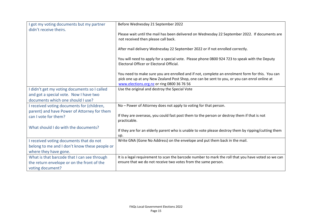<span id="page-18-5"></span><span id="page-18-4"></span><span id="page-18-3"></span><span id="page-18-2"></span><span id="page-18-1"></span><span id="page-18-0"></span>

| I got my voting documents but my partner                                    | Before Wednesday 21 September 2022                                                                                                                                                                                                            |
|-----------------------------------------------------------------------------|-----------------------------------------------------------------------------------------------------------------------------------------------------------------------------------------------------------------------------------------------|
| didn't receive theirs.                                                      | Please wait until the mail has been delivered on Wednesday 22 September 2022. If documents are<br>not received then please call back.                                                                                                         |
|                                                                             | After mail delivery Wednesday 22 September 2022 or if not enrolled correctly.                                                                                                                                                                 |
|                                                                             | You will need to apply for a special vote. Please phone 0800 924 723 to speak with the Deputy<br>Electoral Officer or Electoral Official.                                                                                                     |
|                                                                             | You need to make sure you are enrolled and if not, complete an enrolment form for this. You can<br>pick one up at any New Zealand Post Shop, one can be sent to you, or you can enrol online at<br>www.elections.org.nz or ring 0800 36 76 56 |
| I didn't get my voting documents so I called                                | Use the original and destroy the Special Vote                                                                                                                                                                                                 |
| and got a special vote. Now I have two<br>documents which one should I use? |                                                                                                                                                                                                                                               |
| I received voting documents for (children,                                  | No - Power of Attorney does not apply to voting for that person.                                                                                                                                                                              |
| parent) and have Power of Attorney for them<br>can I vote for them?         | If they are overseas, you could fast post them to the person or destroy them if that is not<br>practicable.                                                                                                                                   |
| What should I do with the documents?                                        | If they are for an elderly parent who is unable to vote please destroy them by ripping/cutting them<br>up.                                                                                                                                    |
| I received voting documents that do not                                     | Write GNA (Gone No Address) on the envelope and put them back in the mail.                                                                                                                                                                    |
| belong to me and I don't know these people or                               |                                                                                                                                                                                                                                               |
| where they have gone.                                                       |                                                                                                                                                                                                                                               |
| What is that barcode that I can see through                                 | It is a legal requirement to scan the barcode number to mark the roll that you have voted so we can                                                                                                                                           |
| the return envelope or on the front of the                                  | ensure that we do not receive two votes from the same person.                                                                                                                                                                                 |
| voting document?                                                            |                                                                                                                                                                                                                                               |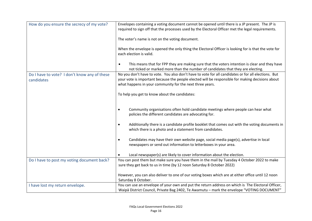<span id="page-19-3"></span><span id="page-19-2"></span><span id="page-19-1"></span><span id="page-19-0"></span>

| How do you ensure the secrecy of my vote?                  | Envelopes containing a voting document cannot be opened until there is a JP present. The JP is<br>required to sign off that the processes used by the Electoral Officer met the legal requirements.                                                                 |
|------------------------------------------------------------|---------------------------------------------------------------------------------------------------------------------------------------------------------------------------------------------------------------------------------------------------------------------|
|                                                            | The voter's name is not on the voting document.                                                                                                                                                                                                                     |
|                                                            | When the envelope is opened the only thing the Electoral Officer is looking for is that the vote for<br>each election is valid.                                                                                                                                     |
|                                                            | This means that for FPP they are making sure that the voters intention is clear and they have<br>$\bullet$<br>not ticked or marked more than the number of candidates that they are electing.                                                                       |
| Do I have to vote? I don't know any of these<br>candidates | No you don't have to vote. You also don't have to vote for all candidates or for all elections. But<br>your vote is important because the people elected will be responsible for making decisions about<br>what happens in your community for the next three years. |
|                                                            | To help you get to know about the candidates:                                                                                                                                                                                                                       |
|                                                            | Community organisations often hold candidate meetings where people can hear what<br>$\bullet$<br>policies the different candidates are advocating for.                                                                                                              |
|                                                            | Additionally there is a candidate profile booklet that comes out with the voting documents in<br>$\bullet$<br>which there is a photo and a statement from candidates.                                                                                               |
|                                                            | Candidates may have their own website page, social media page(s), advertise in local<br>$\bullet$<br>newspapers or send out information to letterboxes in your area.                                                                                                |
|                                                            | Local newspaper(s) are likely to cover information about the election.                                                                                                                                                                                              |
| Do I have to post my voting document back?                 | You can post them but make sure you have them in the mail by Tuesday 4 October 2022 to make<br>sure they get back to us in time (by 12 noon Saturday 8 October 2022)                                                                                                |
|                                                            | However, you can also deliver to one of our voting boxes which are at either office until 12 noon<br>Saturday 8 October.                                                                                                                                            |
| I have lost my return envelope.                            | You can use an envelope of your own and put the return address on which is The Electoral Officer,<br>Waipā District Council, Private Bag 2402, Te Awamutu - mark the envelope "VOTING DOCUMENT"                                                                     |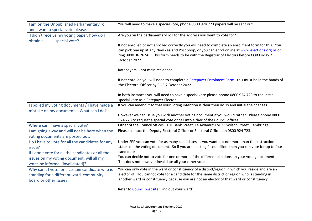<span id="page-20-7"></span><span id="page-20-6"></span><span id="page-20-5"></span><span id="page-20-4"></span><span id="page-20-3"></span><span id="page-20-2"></span><span id="page-20-1"></span><span id="page-20-0"></span>

| I am on the Unpublished Parliamentary roll                              | You will need to make a special vote, phone 0800 924 723 papers will be sent out.                    |
|-------------------------------------------------------------------------|------------------------------------------------------------------------------------------------------|
| and I want a special vote please.                                       |                                                                                                      |
| I didn't receive my voting paper, how do I<br>special vote?<br>obtain a | Are you on the parliamentary roll for the address you want to vote for?                              |
|                                                                         | If not enrolled or not enrolled correctly you will need to complete an enrolment form for this. You  |
|                                                                         | can pick one up at any New Zealand Post Shop, or you can enrol online at www.elections.org.nz or     |
|                                                                         | ring 0800 36 76 56 This form needs to be with the Registrar of Electors before COB Friday 7          |
|                                                                         | October 2022.                                                                                        |
|                                                                         | Ratepayers - not main residence                                                                      |
|                                                                         | If not enrolled you will need to complete a Ratepayer Enrolment Form this must be in the hands of    |
|                                                                         | the Electoral Officer by COB 7 October 2022.                                                         |
|                                                                         | In both instances you will need to have a special vote please phone 0800 924 723 to request a        |
|                                                                         | special vote as a Ratepayer Elector.                                                                 |
| I spoiled my voting documents / I have made a                           | If you can amend it so that your voting intention is clear then do so and initial the changes.       |
| mistake on my documents. What can I do?                                 |                                                                                                      |
|                                                                         | However we can issue you with another voting document if you would rather. Please phone 0800         |
|                                                                         | 924 723 to request a special vote or call into either of the Council offices.                        |
| Where can I have a special vote?                                        | Either of the Council offices. 101 Bank Street, Te Awamutu or 23 Wilson Street, Cambridge            |
| I am going away and will not be here when the                           | Please contact the Deputy Electoral Officer or Electoral Official on 0800 924 723.                   |
| voting documents are posted out.                                        |                                                                                                      |
| Do I have to vote for all the candidates for any                        | Under FPP you can vote for as many candidates as you want but not more than the instruction          |
| issue?                                                                  | states on the voting document. So if you are electing 4 councillors then you can vote for up to four |
| If I don't vote for all the candidates or all the                       | candidates.                                                                                          |
| issues on my voting document, will all my                               | You can decide not to vote for one or more of the different elections on your voting document.       |
| votes be informal (invalidated)?                                        | This does not however invalidate all your other votes.                                               |
| Why can't I vote for a certain candidate who is                         | You can only vote in the ward or constituency of a district/region in which you reside and are an    |
| standing for a different ward, community                                | elector of. You cannot vote for a candidate for the same district or region who is standing in       |
| board or other issue?                                                   | another ward or constituency because you are not an elector of that ward or constituency.            |
|                                                                         | Refer to Council website 'Find out your ward'                                                        |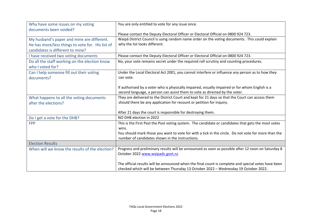<span id="page-21-9"></span><span id="page-21-8"></span><span id="page-21-7"></span><span id="page-21-6"></span><span id="page-21-5"></span><span id="page-21-4"></span><span id="page-21-3"></span><span id="page-21-2"></span><span id="page-21-1"></span><span id="page-21-0"></span>

| Why have some issues on my voting                                 | You are only entitled to vote for any issue once.                                                                                                                                          |
|-------------------------------------------------------------------|--------------------------------------------------------------------------------------------------------------------------------------------------------------------------------------------|
| documents been voided?                                            | Please contact the Deputy Electoral Officer or Electoral Official on 0800 924 723.                                                                                                         |
| My husband's paper and mine are different.                        | Waipā District Council is using random name order on the voting documents. This could explain                                                                                              |
| He has more/less things to vote for. His list of                  | why the list looks different.                                                                                                                                                              |
| candidates is different to mine?                                  |                                                                                                                                                                                            |
| I have received two voting documents                              | Please contact the Deputy Electoral Officer or Electoral Official on 0800 924 723.                                                                                                         |
| Do all the staff working on the election know<br>who I voted for? | No, your vote remains secret under the required roll scrutiny and counting procedures.                                                                                                     |
| Can I help someone fill out their voting<br>documents?            | Under the Local Electoral Act 2001, you cannot interfere or influence any person as to how they<br>can vote.                                                                               |
|                                                                   | If authorised by a voter who is physically impaired, visually impaired or for whom English is a<br>second language, a person can assist them to vote as directed by the voter.             |
| What happens to all the voting documents                          | They are delivered to the District Court and kept for 21 days so that the Court can access them                                                                                            |
| after the elections?                                              | should there be any application for recount or petition for inquiry.                                                                                                                       |
|                                                                   | After 21 days the court is responsible for destroying them.                                                                                                                                |
| Do I get a vote for the DHB?                                      | NO DHB election in 2022                                                                                                                                                                    |
| <b>FPP</b>                                                        | This is the First Past the Post voting system. The candidate or candidates that gets the most votes                                                                                        |
|                                                                   | wins.                                                                                                                                                                                      |
|                                                                   | You should mark those you want to vote for with a tick in the circle. Do not vote for more than the                                                                                        |
|                                                                   | number of candidates shown in the instructions.                                                                                                                                            |
| <b>Election Results</b>                                           |                                                                                                                                                                                            |
| When will we know the results of the election?                    | Progress and preliminary results will be announced as soon as possible after 12 noon on Saturday 8                                                                                         |
|                                                                   | October 2022 www.waipadc.govt.nz                                                                                                                                                           |
|                                                                   | The official results will be announced when the final count is complete and special votes have been<br>checked which will be between Thursday 13 October 2022 - Wednesday 19 October 2022. |